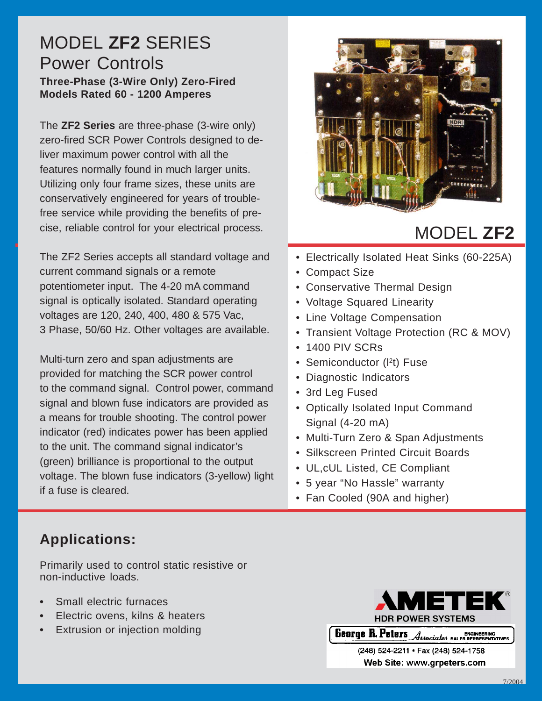### MODEL **ZF2** SERIES Power Controls **Three-Phase (3-Wire Only) Zero-Fired Models Rated 60 - 1200 Amperes**

The **ZF2 Series** are three-phase (3-wire only) zero-fired SCR Power Controls designed to deliver maximum power control with all the features normally found in much larger units. Utilizing only four frame sizes, these units are conservatively engineered for years of troublefree service while providing the benefits of precise, reliable control for your electrical process.

The ZF2 Series accepts all standard voltage and current command signals or a remote potentiometer input. The 4-20 mA command signal is optically isolated. Standard operating voltages are 120, 240, 400, 480 & 575 Vac, 3 Phase, 50/60 Hz. Other voltages are available.

Multi-turn zero and span adjustments are provided for matching the SCR power control to the command signal. Control power, command signal and blown fuse indicators are provided as a means for trouble shooting. The control power indicator (red) indicates power has been applied to the unit. The command signal indicator's (green) brilliance is proportional to the output voltage. The blown fuse indicators (3-yellow) light if a fuse is cleared.



# MODEL **ZF2**

- Electrically Isolated Heat Sinks (60-225A)
- Compact Size
- Conservative Thermal Design
- Voltage Squared Linearity
- Line Voltage Compensation
- Transient Voltage Protection (RC & MOV)
- 1400 PIV SCRs
- Semiconductor (I<sup>2</sup>t) Fuse
- Diagnostic Indicators
- 3rd Leg Fused
- Optically Isolated Input Command Signal (4-20 mA)
- Multi-Turn Zero & Span Adjustments
- Silkscreen Printed Circuit Boards
- UL,cUL Listed, CE Compliant
- 5 year "No Hassle" warranty
- Fan Cooled (90A and higher)

# **Applications:**

Primarily used to control static resistive or non-inductive loads.

- **•** Small electric furnaces
- **•** Electric ovens, kilns & heaters
- **•** Extrusion or injection molding



**Tolome** *A* ENGINEEDING **10** Associates BALES REPR

(248) 524-2211 · Fax (248) 524-1758 Web Site: www.grpeters.com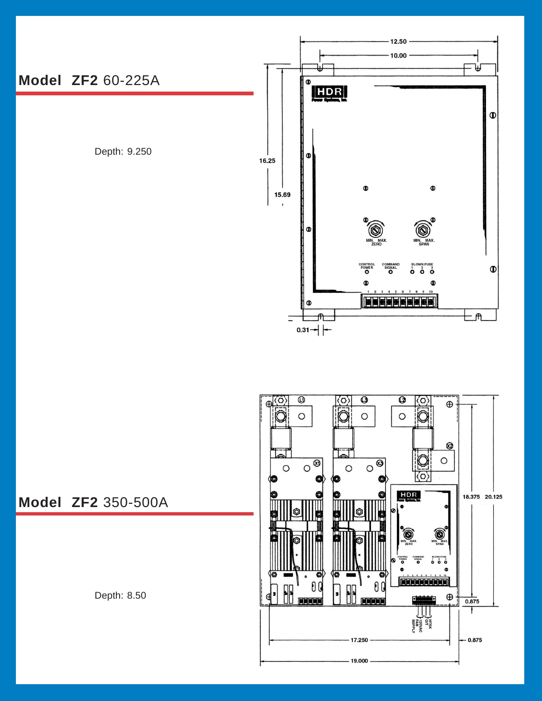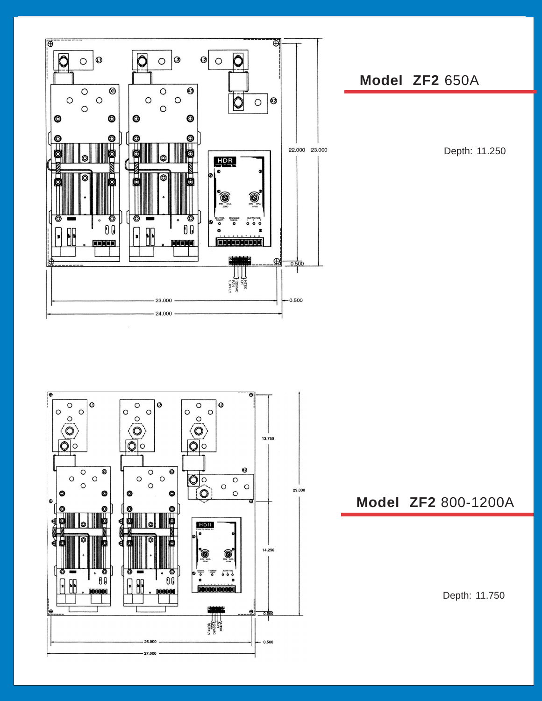

#### **Model ZF2** 650A

Depth: 11.250



### **Model ZF2** 800-1200A

Depth: 11.750